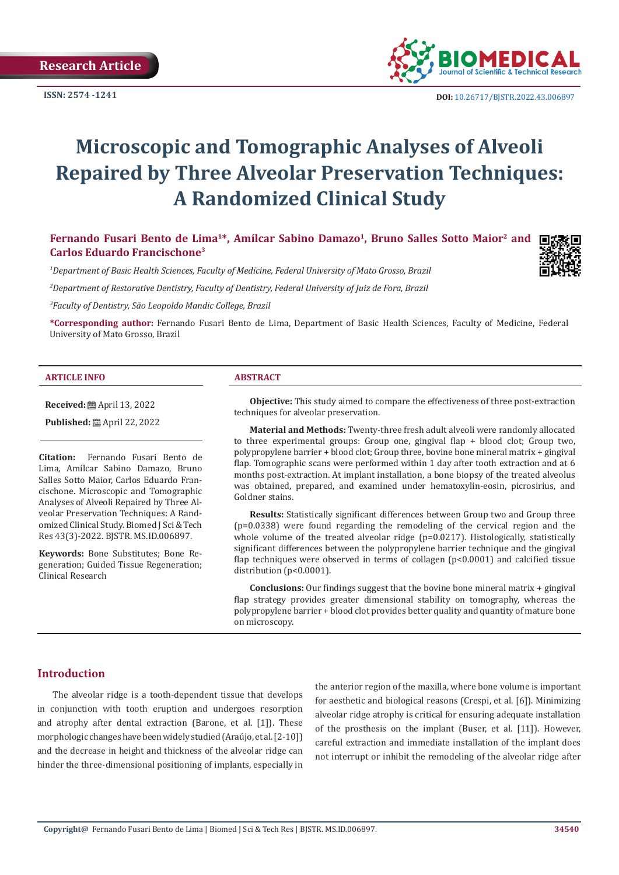

**ISSN:** 2574 -1241 **DOI:** [10.26717/BJSTR.2022.43.006897](https://dx.doi.org/10.26717/BJSTR.2022.43.006897)

# **Microscopic and Tomographic Analyses of Alveoli Repaired by Three Alveolar Preservation Techniques: A Randomized Clinical Study**

Fernando Fusari Bento de Lima<sup>1\*</sup>, Amílcar Sabino Damazo<sup>1</sup>, Bruno Salles Sotto Maior<sup>2</sup> and **Carlos Eduardo Francischone3**

*1 Department of Basic Health Sciences, Faculty of Medicine, Federal University of Mato Grosso, Brazil*

*2 Department of Restorative Dentistry, Faculty of Dentistry, Federal University of Juiz de Fora, Brazil*

*3 Faculty of Dentistry, São Leopoldo Mandic College, Brazil*

**\*Corresponding author:** Fernando Fusari Bento de Lima, Department of Basic Health Sciences, Faculty of Medicine, Federal University of Mato Grosso, Brazil

#### **ARTICLE INFO ABSTRACT**

**Received:** ■ April 13, 2022

**Published:** ■ April 22, 2022

**Citation:** Fernando Fusari Bento de Lima, Amílcar Sabino Damazo, Bruno Salles Sotto Maior, Carlos Eduardo Francischone. Microscopic and Tomographic Analyses of Alveoli Repaired by Three Alveolar Preservation Techniques: A Randomized Clinical Study. Biomed J Sci & Tech Res 43(3)-2022. BJSTR. MS.ID.006897.

**Keywords:** Bone Substitutes; Bone Regeneration; Guided Tissue Regeneration; Clinical Research

**Objective:** This study aimed to compare the effectiveness of three post-extraction techniques for alveolar preservation.

**Material and Methods:** Twenty-three fresh adult alveoli were randomly allocated to three experimental groups: Group one, gingival flap + blood clot; Group two, polypropylene barrier + blood clot; Group three, bovine bone mineral matrix + gingival flap. Tomographic scans were performed within 1 day after tooth extraction and at 6 months post-extraction. At implant installation, a bone biopsy of the treated alveolus was obtained, prepared, and examined under hematoxylin-eosin, picrosirius, and Goldner stains.

**Results:** Statistically significant differences between Group two and Group three (p=0.0338) were found regarding the remodeling of the cervical region and the whole volume of the treated alveolar ridge  $(p=0.0217)$ . Histologically, statistically significant differences between the polypropylene barrier technique and the gingival flap techniques were observed in terms of collagen (p<0.0001) and calcified tissue distribution (p<0.0001).

**Conclusions:** Our findings suggest that the bovine bone mineral matrix + gingival flap strategy provides greater dimensional stability on tomography, whereas the polypropylene barrier + blood clot provides better quality and quantity of mature bone on microscopy.

#### **Introduction**

The alveolar ridge is a tooth-dependent tissue that develops in conjunction with tooth eruption and undergoes resorption and atrophy after dental extraction (Barone, et al. [1]). These morphologic changes have been widely studied (Araújo, et al. [2-10]) and the decrease in height and thickness of the alveolar ridge can hinder the three-dimensional positioning of implants, especially in

the anterior region of the maxilla, where bone volume is important for aesthetic and biological reasons (Crespi, et al. [6]). Minimizing alveolar ridge atrophy is critical for ensuring adequate installation of the prosthesis on the implant (Buser, et al. [11]). However, careful extraction and immediate installation of the implant does not interrupt or inhibit the remodeling of the alveolar ridge after

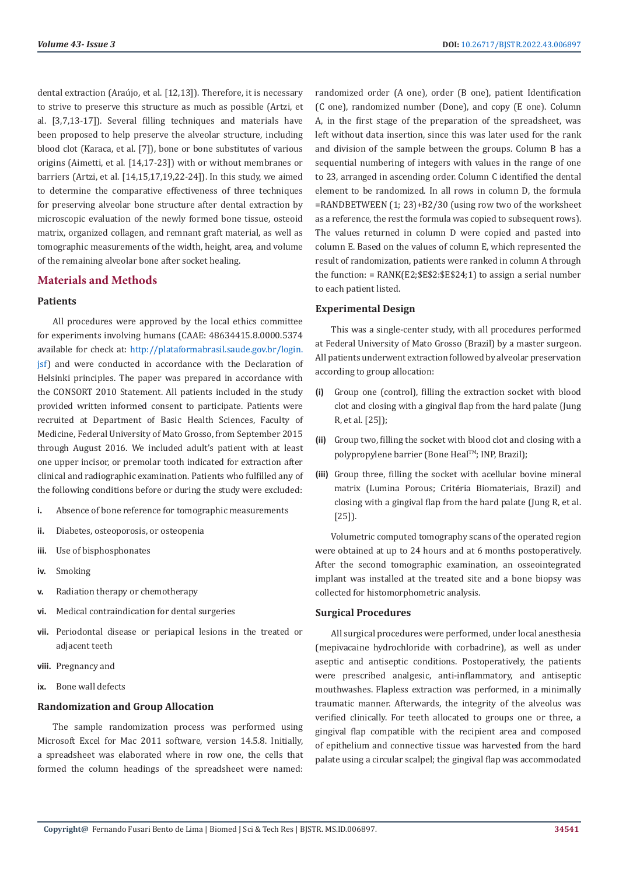dental extraction (Araújo, et al. [12,13]). Therefore, it is necessary to strive to preserve this structure as much as possible (Artzi, et al. [3,7,13-17]). Several filling techniques and materials have been proposed to help preserve the alveolar structure, including blood clot (Karaca, et al. [7]), bone or bone substitutes of various origins (Aimetti, et al. [14,17-23]) with or without membranes or barriers (Artzi, et al. [14,15,17,19,22-24]). In this study, we aimed to determine the comparative effectiveness of three techniques for preserving alveolar bone structure after dental extraction by microscopic evaluation of the newly formed bone tissue, osteoid matrix, organized collagen, and remnant graft material, as well as tomographic measurements of the width, height, area, and volume of the remaining alveolar bone after socket healing.

# **Materials and Methods**

#### **Patients**

All procedures were approved by the local ethics committee for experiments involving humans (CAAE: 48634415.8.0000.5374 available for check at: [http://plataformabrasil.saude.gov.br/login.](http://plataformabrasil.saude.gov.br/login.jsf) [jsf\)](http://plataformabrasil.saude.gov.br/login.jsf) and were conducted in accordance with the Declaration of Helsinki principles. The paper was prepared in accordance with the CONSORT 2010 Statement. All patients included in the study provided written informed consent to participate. Patients were recruited at Department of Basic Health Sciences, Faculty of Medicine, Federal University of Mato Grosso, from September 2015 through August 2016. We included adult's patient with at least one upper incisor, or premolar tooth indicated for extraction after clinical and radiographic examination. Patients who fulfilled any of the following conditions before or during the study were excluded:

- **i.** Absence of bone reference for tomographic measurements
- **ii.** Diabetes, osteoporosis, or osteopenia
- **iii.** Use of bisphosphonates
- **iv.** Smoking
- **v.** Radiation therapy or chemotherapy
- **vi.** Medical contraindication for dental surgeries
- **vii.** Periodontal disease or periapical lesions in the treated or adjacent teeth
- **viii.** Pregnancy and
- **ix.** Bone wall defects

#### **Randomization and Group Allocation**

The sample randomization process was performed using Microsoft Excel for Mac 2011 software, version 14.5.8. Initially, a spreadsheet was elaborated where in row one, the cells that formed the column headings of the spreadsheet were named:

randomized order (A one), order (B one), patient Identification (C one), randomized number (Done), and copy (E one). Column A, in the first stage of the preparation of the spreadsheet, was left without data insertion, since this was later used for the rank and division of the sample between the groups. Column B has a sequential numbering of integers with values in the range of one to 23, arranged in ascending order. Column C identified the dental element to be randomized. In all rows in column D, the formula =RANDBETWEEN (1; 23)+B2/30 (using row two of the worksheet as a reference, the rest the formula was copied to subsequent rows). The values returned in column D were copied and pasted into column E. Based on the values of column E, which represented the result of randomization, patients were ranked in column A through the function:  $= RANK( E2; SE$2:SE$24;1)$  to assign a serial number to each patient listed.

#### **Experimental Design**

This was a single-center study, with all procedures performed at Federal University of Mato Grosso (Brazil) by a master surgeon. All patients underwent extraction followed by alveolar preservation according to group allocation:

- **(i)** Group one (control), filling the extraction socket with blood clot and closing with a gingival flap from the hard palate (Jung R, et al. [25]);
- **(ii)** Group two, filling the socket with blood clot and closing with a polypropylene barrier (Bone Heal<sup>TM</sup>; INP, Brazil);
- **(iii)** Group three, filling the socket with acellular bovine mineral matrix (Lumina Porous; Critéria Biomateriais, Brazil) and closing with a gingival flap from the hard palate (Jung R, et al. [25]).

Volumetric computed tomography scans of the operated region were obtained at up to 24 hours and at 6 months postoperatively. After the second tomographic examination, an osseointegrated implant was installed at the treated site and a bone biopsy was collected for histomorphometric analysis.

#### **Surgical Procedures**

All surgical procedures were performed, under local anesthesia (mepivacaine hydrochloride with corbadrine), as well as under aseptic and antiseptic conditions. Postoperatively, the patients were prescribed analgesic, anti-inflammatory, and antiseptic mouthwashes. Flapless extraction was performed, in a minimally traumatic manner. Afterwards, the integrity of the alveolus was verified clinically. For teeth allocated to groups one or three, a gingival flap compatible with the recipient area and composed of epithelium and connective tissue was harvested from the hard palate using a circular scalpel; the gingival flap was accommodated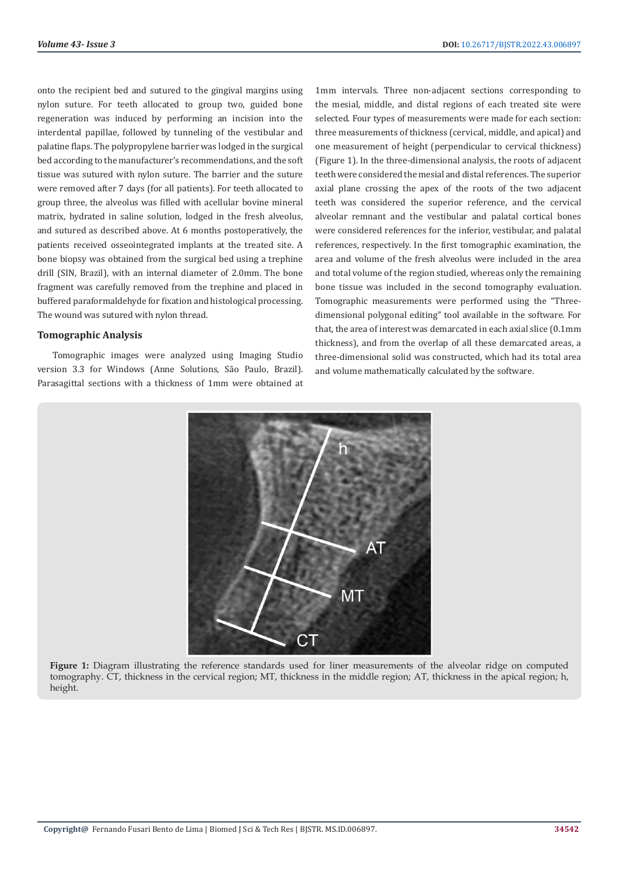onto the recipient bed and sutured to the gingival margins using nylon suture. For teeth allocated to group two, guided bone regeneration was induced by performing an incision into the interdental papillae, followed by tunneling of the vestibular and palatine flaps. The polypropylene barrier was lodged in the surgical bed according to the manufacturer's recommendations, and the soft tissue was sutured with nylon suture. The barrier and the suture were removed after 7 days (for all patients). For teeth allocated to group three, the alveolus was filled with acellular bovine mineral matrix, hydrated in saline solution, lodged in the fresh alveolus, and sutured as described above. At 6 months postoperatively, the patients received osseointegrated implants at the treated site. A bone biopsy was obtained from the surgical bed using a trephine drill (SIN, Brazil), with an internal diameter of 2.0mm. The bone fragment was carefully removed from the trephine and placed in buffered paraformaldehyde for fixation and histological processing. The wound was sutured with nylon thread.

#### **Tomographic Analysis**

Tomographic images were analyzed using Imaging Studio version 3.3 for Windows (Anne Solutions, São Paulo, Brazil). Parasagittal sections with a thickness of 1mm were obtained at 1mm intervals. Three non-adjacent sections corresponding to the mesial, middle, and distal regions of each treated site were selected. Four types of measurements were made for each section: three measurements of thickness (cervical, middle, and apical) and one measurement of height (perpendicular to cervical thickness) (Figure 1). In the three-dimensional analysis, the roots of adjacent teeth were considered the mesial and distal references. The superior axial plane crossing the apex of the roots of the two adjacent teeth was considered the superior reference, and the cervical alveolar remnant and the vestibular and palatal cortical bones were considered references for the inferior, vestibular, and palatal references, respectively. In the first tomographic examination, the area and volume of the fresh alveolus were included in the area and total volume of the region studied, whereas only the remaining bone tissue was included in the second tomography evaluation. Tomographic measurements were performed using the "Threedimensional polygonal editing" tool available in the software. For that, the area of interest was demarcated in each axial slice (0.1mm thickness), and from the overlap of all these demarcated areas, a three-dimensional solid was constructed, which had its total area and volume mathematically calculated by the software.



**Figure 1:** Diagram illustrating the reference standards used for liner measurements of the alveolar ridge on computed tomography. CT, thickness in the cervical region; MT, thickness in the middle region; AT, thickness in the apical region; h, height.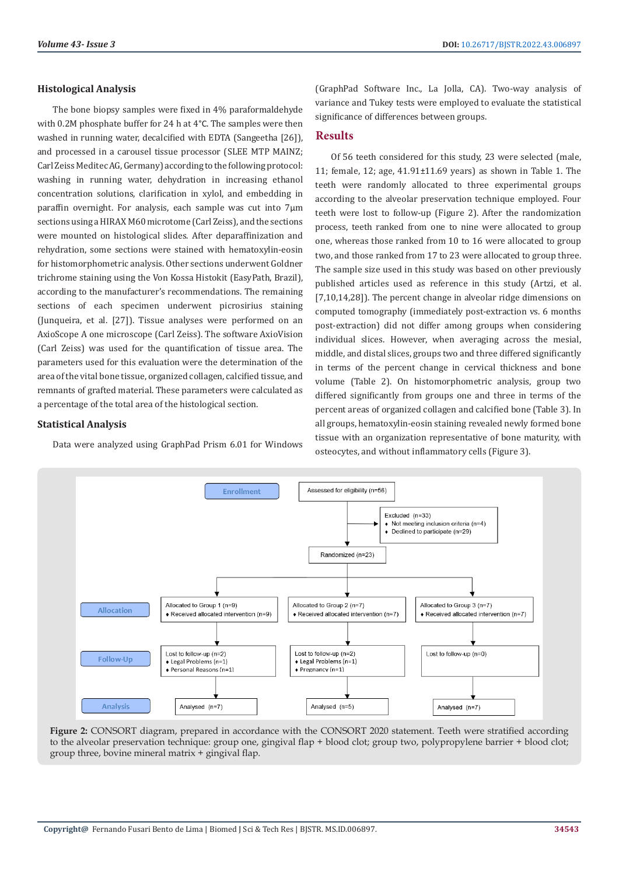#### **Histological Analysis**

The bone biopsy samples were fixed in 4% paraformaldehyde with 0.2M phosphate buffer for 24 h at 4°C. The samples were then washed in running water, decalcified with EDTA (Sangeetha [26]), and processed in a carousel tissue processor (SLEE MTP MAINZ; Carl Zeiss Meditec AG, Germany) according to the following protocol: washing in running water, dehydration in increasing ethanol concentration solutions, clarification in xylol, and embedding in paraffin overnight. For analysis, each sample was cut into 7μm sections using a HIRAX M60 microtome (Carl Zeiss), and the sections were mounted on histological slides. After deparaffinization and rehydration, some sections were stained with hematoxylin-eosin for histomorphometric analysis. Other sections underwent Goldner trichrome staining using the Von Kossa Histokit (EasyPath, Brazil), according to the manufacturer's recommendations. The remaining sections of each specimen underwent picrosirius staining (Junqueira, et al. [27]). Tissue analyses were performed on an AxioScope A one microscope (Carl Zeiss). The software AxioVision (Carl Zeiss) was used for the quantification of tissue area. The parameters used for this evaluation were the determination of the area of the vital bone tissue, organized collagen, calcified tissue, and remnants of grafted material. These parameters were calculated as a percentage of the total area of the histological section.

#### **Statistical Analysis**

Data were analyzed using GraphPad Prism 6.01 for Windows

(GraphPad Software Inc., La Jolla, CA). Two-way analysis of variance and Tukey tests were employed to evaluate the statistical significance of differences between groups.

### **Results**

Of 56 teeth considered for this study, 23 were selected (male, 11; female, 12; age, 41.91±11.69 years) as shown in Table 1. The teeth were randomly allocated to three experimental groups according to the alveolar preservation technique employed. Four teeth were lost to follow-up (Figure 2). After the randomization process, teeth ranked from one to nine were allocated to group one, whereas those ranked from 10 to 16 were allocated to group two, and those ranked from 17 to 23 were allocated to group three. The sample size used in this study was based on other previously published articles used as reference in this study (Artzi, et al. [7,10,14,28]). The percent change in alveolar ridge dimensions on computed tomography (immediately post-extraction vs. 6 months post-extraction) did not differ among groups when considering individual slices. However, when averaging across the mesial, middle, and distal slices, groups two and three differed significantly in terms of the percent change in cervical thickness and bone volume (Table 2). On histomorphometric analysis, group two differed significantly from groups one and three in terms of the percent areas of organized collagen and calcified bone (Table 3). In all groups, hematoxylin-eosin staining revealed newly formed bone tissue with an organization representative of bone maturity, with osteocytes, and without inflammatory cells (Figure 3).



**Figure 2:** CONSORT diagram, prepared in accordance with the CONSORT 2020 statement. Teeth were stratified according to the alveolar preservation technique: group one, gingival flap + blood clot; group two, polypropylene barrier + blood clot; group three, bovine mineral matrix + gingival flap.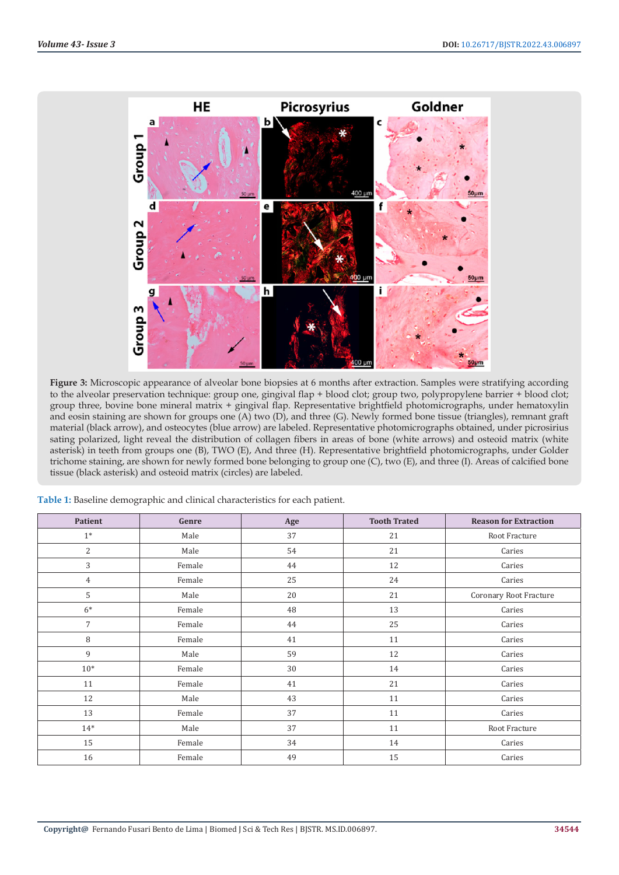

Figure 3: Microscopic appearance of alveolar bone biopsies at 6 months after extraction. Samples were stratifying according to the alveolar preservation technique: group one, gingival flap + blood clot; group two, polypropylene barrier + blood clot; group three, bovine bone mineral matrix + gingival flap. Representative brightfield photomicrographs, under hematoxylin and eosin staining are shown for groups one (A) two (D), and three (G). Newly formed bone tissue (triangles), remnant graft material (black arrow), and osteocytes (blue arrow) are labeled. Representative photomicrographs obtained, under picrosirius sating polarized, light reveal the distribution of collagen fibers in areas of bone (white arrows) and osteoid matrix (white asterisk) in teeth from groups one (B), TWO (E), And three (H). Representative brightfield photomicrographs, under Golder trichome staining, are shown for newly formed bone belonging to group one (C), two (E), and three (I). Areas of calcified bone tissue (black asterisk) and osteoid matrix (circles) are labeled.

| Patient        | Genre  | Age | <b>Tooth Trated</b> | <b>Reason for Extraction</b> |
|----------------|--------|-----|---------------------|------------------------------|
| $1*$           | Male   | 37  | 21                  | Root Fracture                |
| 2              | Male   | 54  | 21                  | Caries                       |
| 3              | Female | 44  | 12                  | Caries                       |
| 4              | Female | 25  | 24                  | Caries                       |
| 5              | Male   | 20  | 21                  | Coronary Root Fracture       |
| $6*$           | Female | 48  | 13                  | Caries                       |
| $\overline{7}$ | Female | 44  | 25                  | Caries                       |
| 8              | Female | 41  | 11                  | Caries                       |
| 9              | Male   | 59  | 12                  | Caries                       |
| $10*$          | Female | 30  | 14                  | Caries                       |
| 11             | Female | 41  | 21                  | Caries                       |
| 12             | Male   | 43  | 11                  | Caries                       |
| 13             | Female | 37  | 11                  | Caries                       |
| $14*$          | Male   | 37  | 11                  | Root Fracture                |
| 15             | Female | 34  | 14                  | Caries                       |
| 16             | Female | 49  | 15                  | Caries                       |

**Table 1:** Baseline demographic and clinical characteristics for each patient.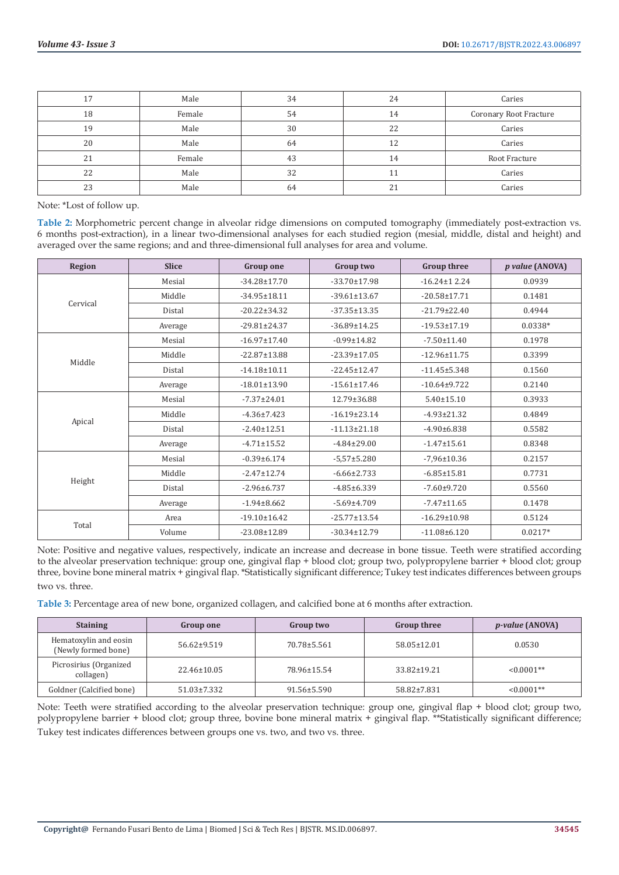| 17 | Male   | 34 | 24 | Caries                 |
|----|--------|----|----|------------------------|
| 18 | Female | 54 | 14 | Coronary Root Fracture |
| 19 | Male   | 30 | 22 | Caries                 |
| 20 | Male   | 64 | 12 | Caries                 |
| 21 | Female | 43 | 14 | Root Fracture          |
| 22 | Male   | 32 |    | Caries                 |
| 23 | Male   | 64 | 21 | Caries                 |

Note: \*Lost of follow up.

**Table 2:** Morphometric percent change in alveolar ridge dimensions on computed tomography (immediately post-extraction vs. 6 months post-extraction), in a linear two-dimensional analyses for each studied region (mesial, middle, distal and height) and averaged over the same regions; and and three-dimensional full analyses for area and volume.

| Region   | <b>Slice</b> | <b>Group one</b>   | Group two          | <b>Group three</b> | <i>p</i> value (ANOVA) |
|----------|--------------|--------------------|--------------------|--------------------|------------------------|
| Cervical | Mesial       | $-34.28 \pm 17.70$ | $-33.70 \pm 17.98$ | $-16.24 \pm 12.24$ | 0.0939                 |
|          | Middle       | $-34.95 \pm 18.11$ | $-39.61 \pm 13.67$ | $-20.58 \pm 17.71$ | 0.1481                 |
|          | Distal       | $-20.22 \pm 34.32$ | $-37.35 \pm 13.35$ | $-21.79 \pm 22.40$ | 0.4944                 |
|          | Average      | $-29.81 \pm 24.37$ | $-36.89 \pm 14.25$ | $-19.53 \pm 17.19$ | $0.0338*$              |
| Middle   | Mesial       | $-16.97 \pm 17.40$ | $-0.99 \pm 14.82$  | $-7.50 \pm 11.40$  | 0.1978                 |
|          | Middle       | $-22.87 \pm 13.88$ | $-23.39 \pm 17.05$ | $-12.96 \pm 11.75$ | 0.3399                 |
|          | Distal       | $-14.18 \pm 10.11$ | $-22.45 \pm 12.47$ | $-11.45 \pm 5.348$ | 0.1560                 |
|          | Average      | $-18.01 \pm 13.90$ | $-15.61 \pm 17.46$ | $-10.64 \pm 9.722$ | 0.2140                 |
| Apical   | Mesial       | $-7.37 \pm 24.01$  | 12.79±36.88        | $5.40 \pm 15.10$   | 0.3933                 |
|          | Middle       | $-4.36 \pm 7.423$  | $-16.19 \pm 23.14$ | $-4.93 \pm 21.32$  | 0.4849                 |
|          | Distal       | $-2.40 \pm 12.51$  | $-11.13 \pm 21.18$ | $-4.90\pm 6.838$   | 0.5582                 |
|          | Average      | $-4.71 \pm 15.52$  | $-4.84 \pm 29.00$  | $-1.47 \pm 15.61$  | 0.8348                 |
| Height   | Mesial       | $-0.39 \pm 6.174$  | $-5,57+5.280$      | $-7,96 \pm 10.36$  | 0.2157                 |
|          | Middle       | $-2.47 \pm 12.74$  | $-6.66 \pm 2.733$  | $-6.85 \pm 15.81$  | 0.7731                 |
|          | Distal       | $-2.96 \pm 6.737$  | $-4.85 \pm 6.339$  | $-7.60 + 9.720$    | 0.5560                 |
|          | Average      | $-1.94\pm8.662$    | $-5.69 \pm 4.709$  | $-7.47 \pm 11.65$  | 0.1478                 |
|          | Area         | $-19.10 \pm 16.42$ | $-25.77 \pm 13.54$ | $-16.29 \pm 10.98$ | 0.5124                 |
| Total    | Volume       | $-23.08 \pm 12.89$ | $-30.34 \pm 12.79$ | $-11.08 \pm 6.120$ | $0.0217*$              |

Note: Positive and negative values, respectively, indicate an increase and decrease in bone tissue. Teeth were stratified according to the alveolar preservation technique: group one, gingival flap + blood clot; group two, polypropylene barrier + blood clot; group three, bovine bone mineral matrix + gingival flap. \*Statistically significant difference; Tukey test indicates differences between groups two vs. three.

**Table 3:** Percentage area of new bone, organized collagen, and calcified bone at 6 months after extraction.

| <b>Staining</b>                              | <b>Group one</b>  | Group two   | <b>Group three</b> | <i>p-value</i> (ANOVA) |
|----------------------------------------------|-------------------|-------------|--------------------|------------------------|
| Hematoxylin and eosin<br>(Newly formed bone) | $56.62 \pm 9.519$ | 70.78±5.561 | 58.05±12.01        | 0.0530                 |
| Picrosirius (Organized<br>collagen)          | $22.46 \pm 10.05$ | 78.96±15.54 | $33.82 \pm 19.21$  | $\leq 0.0001**$        |
| Goldner (Calcified bone)                     | $51.03 \pm 7.332$ | 91.56±5.590 | 58.82±7.831        | $\leq 0.0001$ **       |

Note: Teeth were stratified according to the alveolar preservation technique: group one, gingival flap + blood clot; group two, polypropylene barrier + blood clot; group three, bovine bone mineral matrix + gingival flap. \*\*Statistically significant difference; Tukey test indicates differences between groups one vs. two, and two vs. three.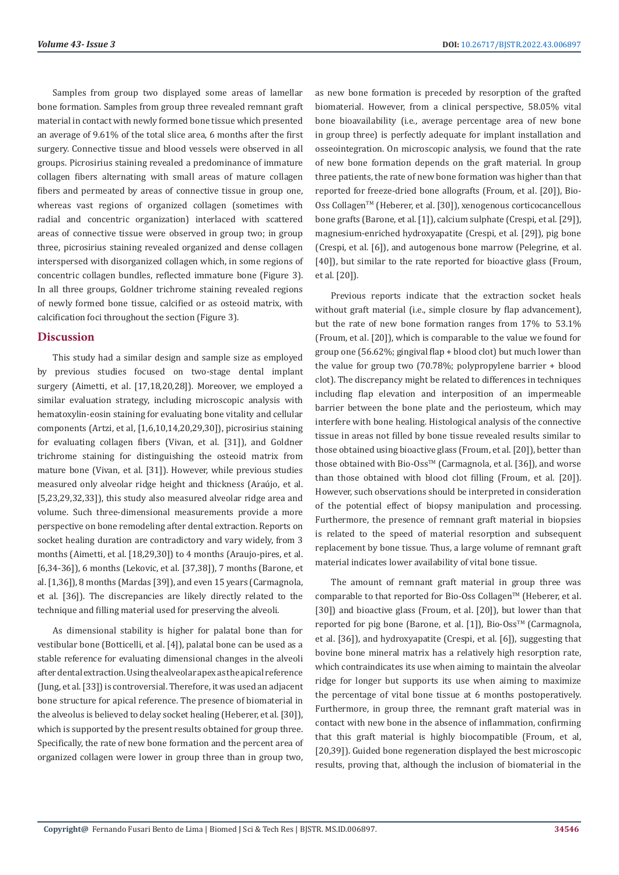Samples from group two displayed some areas of lamellar bone formation. Samples from group three revealed remnant graft material in contact with newly formed bone tissue which presented an average of 9.61% of the total slice area, 6 months after the first surgery. Connective tissue and blood vessels were observed in all groups. Picrosirius staining revealed a predominance of immature collagen fibers alternating with small areas of mature collagen fibers and permeated by areas of connective tissue in group one, whereas vast regions of organized collagen (sometimes with radial and concentric organization) interlaced with scattered areas of connective tissue were observed in group two; in group three, picrosirius staining revealed organized and dense collagen interspersed with disorganized collagen which, in some regions of concentric collagen bundles, reflected immature bone (Figure 3). In all three groups, Goldner trichrome staining revealed regions of newly formed bone tissue, calcified or as osteoid matrix, with calcification foci throughout the section (Figure 3).

### **Discussion**

This study had a similar design and sample size as employed by previous studies focused on two-stage dental implant surgery (Aimetti, et al. [17,18,20,28]). Moreover, we employed a similar evaluation strategy, including microscopic analysis with hematoxylin-eosin staining for evaluating bone vitality and cellular components (Artzi, et al, [1,6,10,14,20,29,30]), picrosirius staining for evaluating collagen fibers (Vivan, et al. [31]), and Goldner trichrome staining for distinguishing the osteoid matrix from mature bone (Vivan, et al. [31]). However, while previous studies measured only alveolar ridge height and thickness (Araújo, et al. [5,23,29,32,33]), this study also measured alveolar ridge area and volume. Such three-dimensional measurements provide a more perspective on bone remodeling after dental extraction. Reports on socket healing duration are contradictory and vary widely, from 3 months (Aimetti, et al. [18,29,30]) to 4 months (Araujo-pires, et al. [6,34-36]), 6 months (Lekovic, et al. [37,38]), 7 months (Barone, et al. [1,36]), 8 months (Mardas [39]), and even 15 years (Carmagnola, et al. [36]). The discrepancies are likely directly related to the technique and filling material used for preserving the alveoli.

As dimensional stability is higher for palatal bone than for vestibular bone (Botticelli, et al. [4]), palatal bone can be used as a stable reference for evaluating dimensional changes in the alveoli after dental extraction. Using the alveolar apex as the apical reference (Jung, et al. [33]) is controversial. Therefore, it was used an adjacent bone structure for apical reference. The presence of biomaterial in the alveolus is believed to delay socket healing (Heberer, et al. [30]), which is supported by the present results obtained for group three. Specifically, the rate of new bone formation and the percent area of organized collagen were lower in group three than in group two,

as new bone formation is preceded by resorption of the grafted biomaterial. However, from a clinical perspective, 58.05% vital bone bioavailability (i.e., average percentage area of new bone in group three) is perfectly adequate for implant installation and osseointegration. On microscopic analysis, we found that the rate of new bone formation depends on the graft material. In group three patients, the rate of new bone formation was higher than that reported for freeze-dried bone allografts (Froum, et al. [20]), Bio-Oss Collagen<sup>™</sup> (Heberer, et al. [30]), xenogenous corticocancellous bone grafts (Barone, et al. [1]), calcium sulphate (Crespi, et al. [29]), magnesium-enriched hydroxyapatite (Crespi, et al. [29]), pig bone (Crespi, et al. [6]), and autogenous bone marrow (Pelegrine, et al. [40]), but similar to the rate reported for bioactive glass (Froum, et al. [20]).

Previous reports indicate that the extraction socket heals without graft material (i.e., simple closure by flap advancement). but the rate of new bone formation ranges from 17% to 53.1% (Froum, et al. [20]), which is comparable to the value we found for group one (56.62%; gingival flap + blood clot) but much lower than the value for group two (70.78%; polypropylene barrier + blood clot). The discrepancy might be related to differences in techniques including flap elevation and interposition of an impermeable barrier between the bone plate and the periosteum, which may interfere with bone healing. Histological analysis of the connective tissue in areas not filled by bone tissue revealed results similar to those obtained using bioactive glass (Froum, et al. [20]), better than those obtained with Bio-Oss™ (Carmagnola, et al. [36]), and worse than those obtained with blood clot filling (Froum, et al. [20]). However, such observations should be interpreted in consideration of the potential effect of biopsy manipulation and processing. Furthermore, the presence of remnant graft material in biopsies is related to the speed of material resorption and subsequent replacement by bone tissue. Thus, a large volume of remnant graft material indicates lower availability of vital bone tissue.

The amount of remnant graft material in group three was comparable to that reported for Bio-Oss Collagen™ (Heberer, et al. [30]) and bioactive glass (Froum, et al. [20]), but lower than that reported for pig bone (Barone, et al. [1]), Bio-Oss™ (Carmagnola, et al. [36]), and hydroxyapatite (Crespi, et al. [6]), suggesting that bovine bone mineral matrix has a relatively high resorption rate, which contraindicates its use when aiming to maintain the alveolar ridge for longer but supports its use when aiming to maximize the percentage of vital bone tissue at 6 months postoperatively. Furthermore, in group three, the remnant graft material was in contact with new bone in the absence of inflammation, confirming that this graft material is highly biocompatible (Froum, et al, [20,39]). Guided bone regeneration displayed the best microscopic results, proving that, although the inclusion of biomaterial in the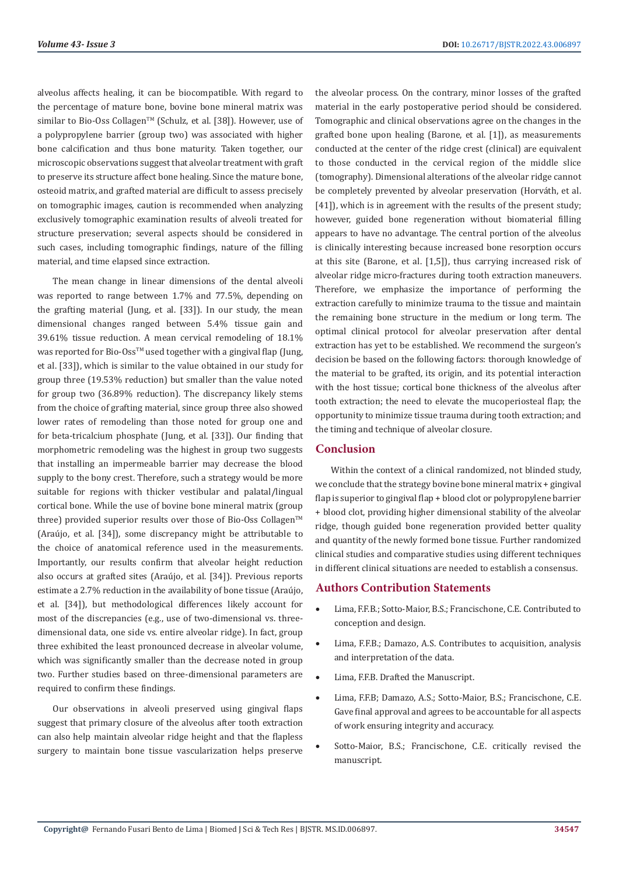alveolus affects healing, it can be biocompatible. With regard to the percentage of mature bone, bovine bone mineral matrix was similar to Bio-Oss Collagen<sup>™</sup> (Schulz, et al. [38]). However, use of a polypropylene barrier (group two) was associated with higher bone calcification and thus bone maturity. Taken together, our microscopic observations suggest that alveolar treatment with graft to preserve its structure affect bone healing. Since the mature bone, osteoid matrix, and grafted material are difficult to assess precisely on tomographic images, caution is recommended when analyzing exclusively tomographic examination results of alveoli treated for structure preservation; several aspects should be considered in such cases, including tomographic findings, nature of the filling material, and time elapsed since extraction.

The mean change in linear dimensions of the dental alveoli was reported to range between 1.7% and 77.5%, depending on the grafting material (Jung, et al. [33]). In our study, the mean dimensional changes ranged between 5.4% tissue gain and 39.61% tissue reduction. A mean cervical remodeling of 18.1% was reported for Bio-Oss<sup>TM</sup> used together with a gingival flap (Jung, et al. [33]), which is similar to the value obtained in our study for group three (19.53% reduction) but smaller than the value noted for group two (36.89% reduction). The discrepancy likely stems from the choice of grafting material, since group three also showed lower rates of remodeling than those noted for group one and for beta-tricalcium phosphate (Jung, et al. [33]). Our finding that morphometric remodeling was the highest in group two suggests that installing an impermeable barrier may decrease the blood supply to the bony crest. Therefore, such a strategy would be more suitable for regions with thicker vestibular and palatal/lingual cortical bone. While the use of bovine bone mineral matrix (group three) provided superior results over those of Bio-Oss Collagen<sup>TM</sup> (Araújo, et al. [34]), some discrepancy might be attributable to the choice of anatomical reference used in the measurements. Importantly, our results confirm that alveolar height reduction also occurs at grafted sites (Araújo, et al. [34]). Previous reports estimate a 2.7% reduction in the availability of bone tissue (Araújo, et al. [34]), but methodological differences likely account for most of the discrepancies (e.g., use of two-dimensional vs. threedimensional data, one side vs. entire alveolar ridge). In fact, group three exhibited the least pronounced decrease in alveolar volume, which was significantly smaller than the decrease noted in group two. Further studies based on three-dimensional parameters are required to confirm these findings.

Our observations in alveoli preserved using gingival flaps suggest that primary closure of the alveolus after tooth extraction can also help maintain alveolar ridge height and that the flapless surgery to maintain bone tissue vascularization helps preserve the alveolar process. On the contrary, minor losses of the grafted material in the early postoperative period should be considered. Tomographic and clinical observations agree on the changes in the grafted bone upon healing (Barone, et al. [1]), as measurements conducted at the center of the ridge crest (clinical) are equivalent to those conducted in the cervical region of the middle slice (tomography). Dimensional alterations of the alveolar ridge cannot be completely prevented by alveolar preservation (Horváth, et al. [41]), which is in agreement with the results of the present study; however, guided bone regeneration without biomaterial filling appears to have no advantage. The central portion of the alveolus is clinically interesting because increased bone resorption occurs at this site (Barone, et al. [1,5]), thus carrying increased risk of alveolar ridge micro-fractures during tooth extraction maneuvers. Therefore, we emphasize the importance of performing the extraction carefully to minimize trauma to the tissue and maintain the remaining bone structure in the medium or long term. The optimal clinical protocol for alveolar preservation after dental extraction has yet to be established. We recommend the surgeon's decision be based on the following factors: thorough knowledge of the material to be grafted, its origin, and its potential interaction with the host tissue; cortical bone thickness of the alveolus after tooth extraction; the need to elevate the mucoperiosteal flap; the opportunity to minimize tissue trauma during tooth extraction; and the timing and technique of alveolar closure.

# **Conclusion**

Within the context of a clinical randomized, not blinded study, we conclude that the strategy bovine bone mineral matrix + gingival flap is superior to gingival flap + blood clot or polypropylene barrier + blood clot, providing higher dimensional stability of the alveolar ridge, though guided bone regeneration provided better quality and quantity of the newly formed bone tissue. Further randomized clinical studies and comparative studies using different techniques in different clinical situations are needed to establish a consensus.

## **Authors Contribution Statements**

- Lima, F.F.B.; Sotto-Maior, B.S.; Francischone, C.E. Contributed to conception and design.
- Lima, F.F.B.; Damazo, A.S. Contributes to acquisition, analysis and interpretation of the data.
- • Lima, F.F.B. Drafted the Manuscript.
- Lima, F.F.B; Damazo, A.S.; Sotto-Maior, B.S.; Francischone, C.E. Gave final approval and agrees to be accountable for all aspects of work ensuring integrity and accuracy.
- Sotto-Maior, B.S.; Francischone, C.E. critically revised the manuscript.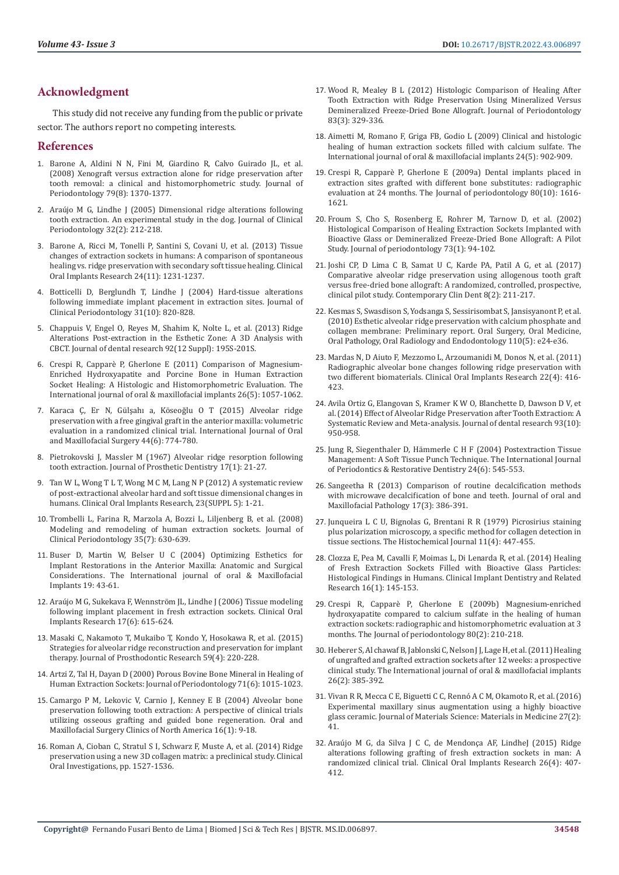# **Acknowledgment**

This study did not receive any funding from the public or private sector. The authors report no competing interests.

#### **References**

- 1. [Barone A, Aldini N N, Fini M, Giardino R, Calvo Guirado JL, et al.](https://aap.onlinelibrary.wiley.com/doi/abs/10.1902/jop.2008.070628)  [\(2008\) Xenograft versus extraction alone for ridge preservation after](https://aap.onlinelibrary.wiley.com/doi/abs/10.1902/jop.2008.070628)  [tooth removal: a clinical and histomorphometric study. Journal of](https://aap.onlinelibrary.wiley.com/doi/abs/10.1902/jop.2008.070628)  [Periodontology 79\(8\): 1370-1377.](https://aap.onlinelibrary.wiley.com/doi/abs/10.1902/jop.2008.070628)
- 2. [Araújo M G, Lindhe J \(2005\) Dimensional ridge alterations following](https://onlinelibrary.wiley.com/doi/10.1111/j.1600-051X.2005.00642.x)  [tooth extraction. An experimental study in the dog. Journal of Clinical](https://onlinelibrary.wiley.com/doi/10.1111/j.1600-051X.2005.00642.x)  [Periodontology 32\(2\): 212-218.](https://onlinelibrary.wiley.com/doi/10.1111/j.1600-051X.2005.00642.x)
- 3. [Barone A, Ricci M, Tonelli P, Santini S, Covani U, et al. \(2013\) Tissue](https://onlinelibrary.wiley.com/doi/10.1111/j.1600-0501.2012.02535.x)  [changes of extraction sockets in humans: A comparison of spontaneous](https://onlinelibrary.wiley.com/doi/10.1111/j.1600-0501.2012.02535.x)  [healing vs. ridge preservation with secondary soft tissue healing. Clinical](https://onlinelibrary.wiley.com/doi/10.1111/j.1600-0501.2012.02535.x)  [Oral Implants Research 24\(11\): 1231-1237.](https://onlinelibrary.wiley.com/doi/10.1111/j.1600-0501.2012.02535.x)
- 4. [Botticelli D, Berglundh T, Lindhe J \(2004\) Hard-tissue alterations](https://onlinelibrary.wiley.com/doi/10.1111/j.1600-051X.2004.00565.x)  [following immediate implant placement in extraction sites. Journal of](https://onlinelibrary.wiley.com/doi/10.1111/j.1600-051X.2004.00565.x)  [Clinical Periodontology 31\(10\): 820-828.](https://onlinelibrary.wiley.com/doi/10.1111/j.1600-051X.2004.00565.x)
- 5. [Chappuis V, Engel O, Reyes M, Shahim K, Nolte L, et al. \(2013\) Ridge](https://journals.sagepub.com/doi/10.1177/0022034513506713)  [Alterations Post-extraction in the Esthetic Zone: A 3D Analysis with](https://journals.sagepub.com/doi/10.1177/0022034513506713)  [CBCT. Journal of dental research 92\(12 Suppl\): 195S-201S.](https://journals.sagepub.com/doi/10.1177/0022034513506713)
- 6. [Crespi R, Capparè P, Gherlone E \(2011\) Comparison of Magnesium-](https://pubmed.ncbi.nlm.nih.gov/22010090/)[Enriched Hydroxyapatite and Porcine Bone in Human Extraction](https://pubmed.ncbi.nlm.nih.gov/22010090/)  [Socket Healing: A Histologic and Histomorphometric Evaluation. The](https://pubmed.ncbi.nlm.nih.gov/22010090/)  [International journal of oral & maxillofacial implants 26\(5\): 1057-1062.](https://pubmed.ncbi.nlm.nih.gov/22010090/)
- 7. [Karaca Ç, Er N, Gülşahı a, Köseoğlu O T \(2015\) Alveolar ridge](https://linkinghub.elsevier.com/retrieve/pii/S0901502715000223)  [preservation with a free gingival graft in the anterior maxilla: volumetric](https://linkinghub.elsevier.com/retrieve/pii/S0901502715000223)  [evaluation in a randomized clinical trial. International Journal of Oral](https://linkinghub.elsevier.com/retrieve/pii/S0901502715000223)  [and Maxillofacial Surgery 44\(6\): 774-780.](https://linkinghub.elsevier.com/retrieve/pii/S0901502715000223)
- 8. [Pietrokovski J, Massler M \(1967\) Alveolar ridge resorption following](https://pubmed.ncbi.nlm.nih.gov/5224784/)  [tooth extraction. Journal of Prosthetic Dentistry 17\(1\): 21-27.](https://pubmed.ncbi.nlm.nih.gov/5224784/)
- 9. [Tan W L, Wong T L T, Wong M C M, Lang N P \(2012\) A systematic review](https://pubmed.ncbi.nlm.nih.gov/22211303/)  [of post-extractional alveolar hard and soft tissue dimensional changes in](https://pubmed.ncbi.nlm.nih.gov/22211303/)  [humans. Clinical Oral Implants Research, 23\(SUPPL 5\): 1-21.](https://pubmed.ncbi.nlm.nih.gov/22211303/)
- 10. [Trombelli L, Farina R, Marzola A, Bozzi L, Liljenberg B, et al. \(2008\)](https://onlinelibrary.wiley.com/doi/10.1111/j.1600-051X.2008.01246.x)  [Modeling and remodeling of human extraction sockets. Journal of](https://onlinelibrary.wiley.com/doi/10.1111/j.1600-051X.2008.01246.x)  [Clinical Periodontology 35\(7\): 630-639.](https://onlinelibrary.wiley.com/doi/10.1111/j.1600-051X.2008.01246.x)
- 11. [Buser D, Martin W, Belser U C \(2004\) Optimizing Esthetics for](https://pubmed.ncbi.nlm.nih.gov/15635945/)  [Implant Restorations in the Anterior Maxilla: Anatomic and Surgical](https://pubmed.ncbi.nlm.nih.gov/15635945/)  [Considerations. The International journal of oral & Maxillofacial](https://pubmed.ncbi.nlm.nih.gov/15635945/)  [Implants 19: 43-61.](https://pubmed.ncbi.nlm.nih.gov/15635945/)
- 12. [Araújo M G, Sukekava F, Wennström JL, Lindhe J \(2006\) Tissue modeling](https://doi.org/10.1111/j.1600-0501.2006.01317.x)  [following implant placement in fresh extraction sockets. Clinical Oral](https://doi.org/10.1111/j.1600-0501.2006.01317.x)  [Implants Research 17\(6\): 615-624.](https://doi.org/10.1111/j.1600-0501.2006.01317.x)
- 13. [Masaki C, Nakamoto T, Mukaibo T, Kondo Y, Hosokawa R, et al. \(2015\)](https://pubmed.ncbi.nlm.nih.gov/26022542/)  [Strategies for alveolar ridge reconstruction and preservation for implant](https://pubmed.ncbi.nlm.nih.gov/26022542/)  [therapy. Journal of Prosthodontic Research 59\(4\): 220-228.](https://pubmed.ncbi.nlm.nih.gov/26022542/)
- 14. [Artzi Z, Tal H, Dayan D \(2000\) Porous Bovine Bone Mineral in Healing of](https://pubmed.ncbi.nlm.nih.gov/10914806/)  [Human Extraction Sockets: Journal of Periodontology 71\(6\): 1015-1023.](https://pubmed.ncbi.nlm.nih.gov/10914806/)
- 15. [Camargo P M, Lekovic V, Carnio J, Kenney E B \(2004\) Alveolar bone](https://www.sciencedirect.com/science/article/abs/pii/S1042369903000888?via%3Dihub)  [preservation following tooth extraction: A perspective of clinical trials](https://www.sciencedirect.com/science/article/abs/pii/S1042369903000888?via%3Dihub)  [utilizing osseous grafting and guided bone regeneration. Oral and](https://www.sciencedirect.com/science/article/abs/pii/S1042369903000888?via%3Dihub)  [Maxillofacial Surgery Clinics of North America 16\(1\): 9-18.](https://www.sciencedirect.com/science/article/abs/pii/S1042369903000888?via%3Dihub)
- 16. [Roman A, Cioban C, Stratul S I, Schwarz F, Muste A, et al. \(2014\) Ridge](https://link.springer.com/article/10.1007/s00784-014-1368-1)  [preservation using a new 3D collagen matrix: a preclinical study. Clinical](https://link.springer.com/article/10.1007/s00784-014-1368-1)  [Oral Investigations, pp. 1527-1536.](https://link.springer.com/article/10.1007/s00784-014-1368-1)
- 17. [Wood R, Mealey B L \(2012\) Histologic Comparison of Healing After](https://aap.onlinelibrary.wiley.com/doi/abs/10.1902/jop.2011.110270) [Tooth Extraction with Ridge Preservation Using Mineralized Versus](https://aap.onlinelibrary.wiley.com/doi/abs/10.1902/jop.2011.110270) [Demineralized Freeze-Dried Bone Allograft. Journal of Periodontology](https://aap.onlinelibrary.wiley.com/doi/abs/10.1902/jop.2011.110270) [83\(3\): 329-336.](https://aap.onlinelibrary.wiley.com/doi/abs/10.1902/jop.2011.110270)
- 18. [Aimetti M, Romano F, Griga FB, Godio L \(2009\) Clinical and histologic](https://pubmed.ncbi.nlm.nih.gov/19865631/) [healing of human extraction sockets filled with calcium sulfate. The](https://pubmed.ncbi.nlm.nih.gov/19865631/) [International journal of oral & maxillofacial implants 24\(5\): 902-909.](https://pubmed.ncbi.nlm.nih.gov/19865631/)
- 19. [Crespi R, Capparè P, Gherlone E \(2009a\) Dental implants placed in](https://aap.onlinelibrary.wiley.com/doi/abs/10.1902/jop.2009.090156) [extraction sites grafted with different bone substitutes: radiographic](https://aap.onlinelibrary.wiley.com/doi/abs/10.1902/jop.2009.090156) [evaluation at 24 months. The Journal of periodontology 80\(10\): 1616-](https://aap.onlinelibrary.wiley.com/doi/abs/10.1902/jop.2009.090156) [1621.](https://aap.onlinelibrary.wiley.com/doi/abs/10.1902/jop.2009.090156)
- 20. [Froum S, Cho S, Rosenberg E, Rohrer M, Tarnow D, et al. \(2002\)](https://pubmed.ncbi.nlm.nih.gov/11846205/) [Histological Comparison of Healing Extraction Sockets Implanted with](https://pubmed.ncbi.nlm.nih.gov/11846205/) [Bioactive Glass or Demineralized Freeze-Dried Bone Allograft: A Pilot](https://pubmed.ncbi.nlm.nih.gov/11846205/) [Study. Journal of periodontology 73\(1\): 94-102.](https://pubmed.ncbi.nlm.nih.gov/11846205/)
- 21. [Joshi CP, D Lima C B, Samat U C, Karde PA, Patil A G, et al. \(2017\)](https://www.ncbi.nlm.nih.gov/pmc/articles/PMC5551324/) [Comparative alveolar ridge preservation using allogenous tooth graft](https://www.ncbi.nlm.nih.gov/pmc/articles/PMC5551324/) [versus free-dried bone allograft: A randomized, controlled, prospective,](https://www.ncbi.nlm.nih.gov/pmc/articles/PMC5551324/) [clinical pilot study. Contemporary Clin Dent 8\(2\): 211-217.](https://www.ncbi.nlm.nih.gov/pmc/articles/PMC5551324/)
- 22. [Kesmas S, Swasdison S, Yodsanga S, Sessirisombat S, Jansisyanont P, et al.](https://www.oooojournal.net/article/S1079-2104(10)00456-7/fulltext) [\(2010\) Esthetic alveolar ridge preservation with calcium phosphate and](https://www.oooojournal.net/article/S1079-2104(10)00456-7/fulltext) [collagen membrane: Preliminary report. Oral Surgery, Oral Medicine,](https://www.oooojournal.net/article/S1079-2104(10)00456-7/fulltext) [Oral Pathology, Oral Radiology and Endodontology 110\(5\): e24-e36.](https://www.oooojournal.net/article/S1079-2104(10)00456-7/fulltext)
- 23. [Mardas N, D Aiuto F, Mezzomo L, Arzoumanidi M, Donos N, et al. \(2011\)](https://onlinelibrary.wiley.com/doi/10.1111/j.1600-0501.2010.02154.x) [Radiographic alveolar bone changes following ridge preservation with](https://onlinelibrary.wiley.com/doi/10.1111/j.1600-0501.2010.02154.x) [two different biomaterials. Clinical Oral Implants Research 22\(4\): 416-](https://onlinelibrary.wiley.com/doi/10.1111/j.1600-0501.2010.02154.x) [423.](https://onlinelibrary.wiley.com/doi/10.1111/j.1600-0501.2010.02154.x)
- 24. [Avila Ortiz G, Elangovan S, Kramer K W O, Blanchette D, Dawson D V, et](https://journals.sagepub.com/doi/10.1177/0022034514541127) [al. \(2014\) Effect of Alveolar Ridge Preservation after Tooth Extraction: A](https://journals.sagepub.com/doi/10.1177/0022034514541127) [Systematic Review and Meta-analysis. Journal of dental research 93\(10\):](https://journals.sagepub.com/doi/10.1177/0022034514541127) [950-958.](https://journals.sagepub.com/doi/10.1177/0022034514541127)
- 25. [Jung R, Siegenthaler D, Hämmerle C H F \(2004\) Postextraction Tissue](https://pubmed.ncbi.nlm.nih.gov/15626317/) [Management: A Soft Tissue Punch Technique. The International Journal](https://pubmed.ncbi.nlm.nih.gov/15626317/) [of Periodontics & Restorative Dentistry 24\(6\): 545-553.](https://pubmed.ncbi.nlm.nih.gov/15626317/)
- 26. [Sangeetha R \(2013\) Comparison of routine decalcification methods](https://www.jomfp.in/article.asp?issn=0973-029X;year=2013;volume=17;issue=3;spage=386;epage=391;aulast=Sangeetha) [with microwave decalcification of bone and teeth. Journal of oral and](https://www.jomfp.in/article.asp?issn=0973-029X;year=2013;volume=17;issue=3;spage=386;epage=391;aulast=Sangeetha) [Maxillofacial Pathology 17\(3\): 386-391.](https://www.jomfp.in/article.asp?issn=0973-029X;year=2013;volume=17;issue=3;spage=386;epage=391;aulast=Sangeetha)
- 27. [Junqueira L C U, Bignolas G, Brentani R R \(1979\) Picrosirius staining](https://link.springer.com/article/10.1007/BF01002772) [plus polarization microscopy, a specific method for collagen detection in](https://link.springer.com/article/10.1007/BF01002772) [tissue sections. The Histochemical Journal 11\(4\): 447-455.](https://link.springer.com/article/10.1007/BF01002772)
- 28. [Clozza E, Pea M, Cavalli F, Moimas L, Di Lenarda R, et al. \(2014\) Healing](https://onlinelibrary.wiley.com/doi/10.1111/j.1708-8208.2012.00463.x) [of Fresh Extraction Sockets Filled with Bioactive Glass Particles:](https://onlinelibrary.wiley.com/doi/10.1111/j.1708-8208.2012.00463.x) [Histological Findings in Humans. Clinical Implant Dentistry and Related](https://onlinelibrary.wiley.com/doi/10.1111/j.1708-8208.2012.00463.x) [Research 16\(1\): 145-153.](https://onlinelibrary.wiley.com/doi/10.1111/j.1708-8208.2012.00463.x)
- 29. [Crespi R, Capparè P, Gherlone E \(2009b\) Magnesium-enriched](https://aap.onlinelibrary.wiley.com/doi/abs/10.1902/jop.2009.080400) [hydroxyapatite compared to calcium sulfate in the healing of human](https://aap.onlinelibrary.wiley.com/doi/abs/10.1902/jop.2009.080400) [extraction sockets: radiographic and histomorphometric evaluation at 3](https://aap.onlinelibrary.wiley.com/doi/abs/10.1902/jop.2009.080400) [months. The Journal of periodontology 80\(2\): 210-218.](https://aap.onlinelibrary.wiley.com/doi/abs/10.1902/jop.2009.080400)
- 30. [Heberer S, Al chawaf B, Jablonski C, Nelson J J, Lage H, et al. \(2011\) Healing](https://pubmed.ncbi.nlm.nih.gov/21483892/) [of ungrafted and grafted extraction sockets after 12 weeks: a prospective](https://pubmed.ncbi.nlm.nih.gov/21483892/) [clinical study. The International journal of oral & maxillofacial implants](https://pubmed.ncbi.nlm.nih.gov/21483892/) [26\(2\): 385-392.](https://pubmed.ncbi.nlm.nih.gov/21483892/)
- 31. [Vivan R R, Mecca C E, Biguetti C C, Rennó A C M, Okamoto R, et al. \(2016\)](https://link.springer.com/article/10.1007/s10856-015-5652-7) [Experimental maxillary sinus augmentation using a highly bioactive](https://link.springer.com/article/10.1007/s10856-015-5652-7) [glass ceramic. Journal of Materials Science: Materials in Medicine 27\(2\):](https://link.springer.com/article/10.1007/s10856-015-5652-7) [41.](https://link.springer.com/article/10.1007/s10856-015-5652-7)
- 32. [Araújo M G, da Silva J C C, de Mendonça AF, LindheJ \(2015\) Ridge](https://onlinelibrary.wiley.com/doi/10.1111/clr.12366) [alterations following grafting of fresh extraction sockets in man: A](https://onlinelibrary.wiley.com/doi/10.1111/clr.12366) [randomized clinical trial. Clinical Oral Implants Research 26\(4\): 407-](https://onlinelibrary.wiley.com/doi/10.1111/clr.12366) [412.](https://onlinelibrary.wiley.com/doi/10.1111/clr.12366)